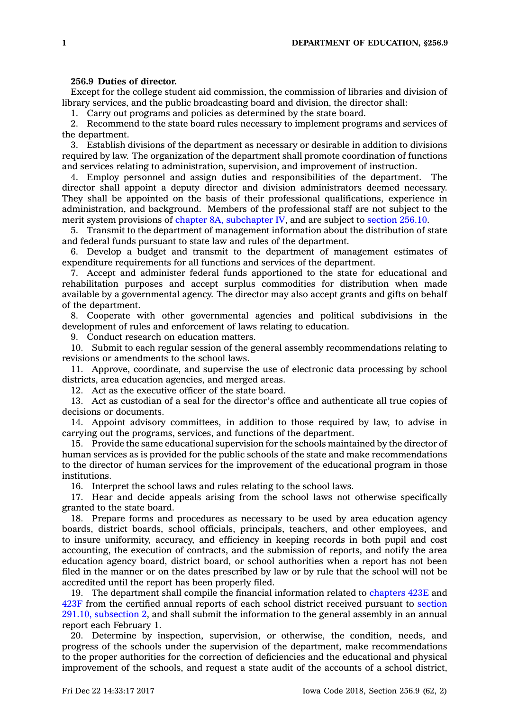## **256.9 Duties of director.**

Except for the college student aid commission, the commission of libraries and division of library services, and the public broadcasting board and division, the director shall:

1. Carry out programs and policies as determined by the state board.

2. Recommend to the state board rules necessary to implement programs and services of the department.

3. Establish divisions of the department as necessary or desirable in addition to divisions required by law. The organization of the department shall promote coordination of functions and services relating to administration, supervision, and improvement of instruction.

4. Employ personnel and assign duties and responsibilities of the department. The director shall appoint <sup>a</sup> deputy director and division administrators deemed necessary. They shall be appointed on the basis of their professional qualifications, experience in administration, and background. Members of the professional staff are not subject to the merit system provisions of chapter 8A, [subchapter](https://www.legis.iowa.gov/docs/code//8A.pdf) IV, and are subject to [section](https://www.legis.iowa.gov/docs/code/256.10.pdf) 256.10.

5. Transmit to the department of management information about the distribution of state and federal funds pursuant to state law and rules of the department.

6. Develop <sup>a</sup> budget and transmit to the department of management estimates of expenditure requirements for all functions and services of the department.

7. Accept and administer federal funds apportioned to the state for educational and rehabilitation purposes and accept surplus commodities for distribution when made available by <sup>a</sup> governmental agency. The director may also accept grants and gifts on behalf of the department.

8. Cooperate with other governmental agencies and political subdivisions in the development of rules and enforcement of laws relating to education.

9. Conduct research on education matters.

10. Submit to each regular session of the general assembly recommendations relating to revisions or amendments to the school laws.

11. Approve, coordinate, and supervise the use of electronic data processing by school districts, area education agencies, and merged areas.

12. Act as the executive officer of the state board.

13. Act as custodian of <sup>a</sup> seal for the director's office and authenticate all true copies of decisions or documents.

14. Appoint advisory committees, in addition to those required by law, to advise in carrying out the programs, services, and functions of the department.

15. Provide the same educational supervision for the schools maintained by the director of human services as is provided for the public schools of the state and make recommendations to the director of human services for the improvement of the educational program in those institutions.

16. Interpret the school laws and rules relating to the school laws.

17. Hear and decide appeals arising from the school laws not otherwise specifically granted to the state board.

18. Prepare forms and procedures as necessary to be used by area education agency boards, district boards, school officials, principals, teachers, and other employees, and to insure uniformity, accuracy, and efficiency in keeping records in both pupil and cost accounting, the execution of contracts, and the submission of reports, and notify the area education agency board, district board, or school authorities when <sup>a</sup> report has not been filed in the manner or on the dates prescribed by law or by rule that the school will not be accredited until the report has been properly filed.

19. The department shall compile the financial information related to [chapters](https://www.legis.iowa.gov/docs/code//423E.pdf) 423E and [423F](https://www.legis.iowa.gov/docs/code//423F.pdf) from the certified annual reports of each school district received pursuant to [section](https://www.legis.iowa.gov/docs/code/291.10.pdf) 291.10, [subsection](https://www.legis.iowa.gov/docs/code/291.10.pdf) 2, and shall submit the information to the general assembly in an annual report each February 1.

20. Determine by inspection, supervision, or otherwise, the condition, needs, and progress of the schools under the supervision of the department, make recommendations to the proper authorities for the correction of deficiencies and the educational and physical improvement of the schools, and request <sup>a</sup> state audit of the accounts of <sup>a</sup> school district,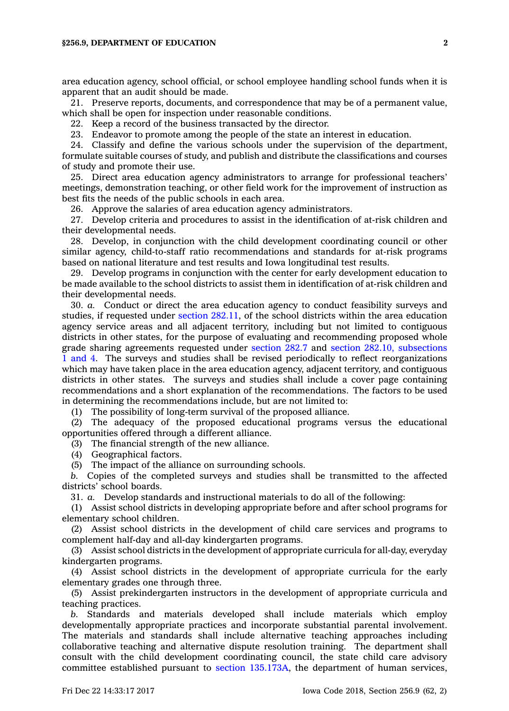area education agency, school official, or school employee handling school funds when it is apparent that an audit should be made.

21. Preserve reports, documents, and correspondence that may be of <sup>a</sup> permanent value, which shall be open for inspection under reasonable conditions.

22. Keep <sup>a</sup> record of the business transacted by the director.

23. Endeavor to promote among the people of the state an interest in education.

24. Classify and define the various schools under the supervision of the department, formulate suitable courses of study, and publish and distribute the classifications and courses of study and promote their use.

25. Direct area education agency administrators to arrange for professional teachers' meetings, demonstration teaching, or other field work for the improvement of instruction as best fits the needs of the public schools in each area.

26. Approve the salaries of area education agency administrators.

27. Develop criteria and procedures to assist in the identification of at-risk children and their developmental needs.

28. Develop, in conjunction with the child development coordinating council or other similar agency, child-to-staff ratio recommendations and standards for at-risk programs based on national literature and test results and Iowa longitudinal test results.

29. Develop programs in conjunction with the center for early development education to be made available to the school districts to assist them in identification of at-risk children and their developmental needs.

30. *a.* Conduct or direct the area education agency to conduct feasibility surveys and studies, if requested under section [282.11](https://www.legis.iowa.gov/docs/code/282.11.pdf), of the school districts within the area education agency service areas and all adjacent territory, including but not limited to contiguous districts in other states, for the purpose of evaluating and recommending proposed whole grade sharing agreements requested under [section](https://www.legis.iowa.gov/docs/code/282.7.pdf) 282.7 and section 282.10, [subsections](https://www.legis.iowa.gov/docs/code/282.10.pdf) 1 [and](https://www.legis.iowa.gov/docs/code/282.10.pdf) 4. The surveys and studies shall be revised periodically to reflect reorganizations which may have taken place in the area education agency, adjacent territory, and contiguous districts in other states. The surveys and studies shall include <sup>a</sup> cover page containing recommendations and <sup>a</sup> short explanation of the recommendations. The factors to be used in determining the recommendations include, but are not limited to:

(1) The possibility of long-term survival of the proposed alliance.

(2) The adequacy of the proposed educational programs versus the educational opportunities offered through <sup>a</sup> different alliance.

(3) The financial strength of the new alliance.

(4) Geographical factors.

(5) The impact of the alliance on surrounding schools.

*b.* Copies of the completed surveys and studies shall be transmitted to the affected districts' school boards.

31. *a.* Develop standards and instructional materials to do all of the following:

(1) Assist school districts in developing appropriate before and after school programs for elementary school children.

(2) Assist school districts in the development of child care services and programs to complement half-day and all-day kindergarten programs.

(3) Assist school districts in the development of appropriate curricula for all-day, everyday kindergarten programs.

(4) Assist school districts in the development of appropriate curricula for the early elementary grades one through three.

(5) Assist prekindergarten instructors in the development of appropriate curricula and teaching practices.

*b.* Standards and materials developed shall include materials which employ developmentally appropriate practices and incorporate substantial parental involvement. The materials and standards shall include alternative teaching approaches including collaborative teaching and alternative dispute resolution training. The department shall consult with the child development coordinating council, the state child care advisory committee established pursuant to section [135.173A](https://www.legis.iowa.gov/docs/code/135.173A.pdf), the department of human services,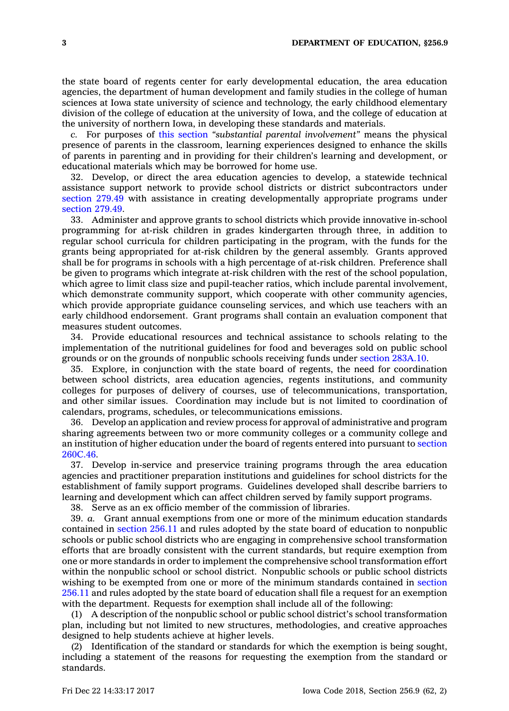the state board of regents center for early developmental education, the area education agencies, the department of human development and family studies in the college of human sciences at Iowa state university of science and technology, the early childhood elementary division of the college of education at the university of Iowa, and the college of education at the university of northern Iowa, in developing these standards and materials.

*c.* For purposes of this [section](https://www.legis.iowa.gov/docs/code/256.9.pdf) *"substantial parental involvement"* means the physical presence of parents in the classroom, learning experiences designed to enhance the skills of parents in parenting and in providing for their children's learning and development, or educational materials which may be borrowed for home use.

32. Develop, or direct the area education agencies to develop, <sup>a</sup> statewide technical assistance support network to provide school districts or district subcontractors under [section](https://www.legis.iowa.gov/docs/code/279.49.pdf) 279.49 with assistance in creating developmentally appropriate programs under [section](https://www.legis.iowa.gov/docs/code/279.49.pdf) 279.49.

33. Administer and approve grants to school districts which provide innovative in-school programming for at-risk children in grades kindergarten through three, in addition to regular school curricula for children participating in the program, with the funds for the grants being appropriated for at-risk children by the general assembly. Grants approved shall be for programs in schools with <sup>a</sup> high percentage of at-risk children. Preference shall be given to programs which integrate at-risk children with the rest of the school population, which agree to limit class size and pupil-teacher ratios, which include parental involvement, which demonstrate community support, which cooperate with other community agencies, which provide appropriate guidance counseling services, and which use teachers with an early childhood endorsement. Grant programs shall contain an evaluation component that measures student outcomes.

34. Provide educational resources and technical assistance to schools relating to the implementation of the nutritional guidelines for food and beverages sold on public school grounds or on the grounds of nonpublic schools receiving funds under section [283A.10](https://www.legis.iowa.gov/docs/code/283A.10.pdf).

35. Explore, in conjunction with the state board of regents, the need for coordination between school districts, area education agencies, regents institutions, and community colleges for purposes of delivery of courses, use of telecommunications, transportation, and other similar issues. Coordination may include but is not limited to coordination of calendars, programs, schedules, or telecommunications emissions.

36. Develop an application and review process for approval of administrative and program sharing agreements between two or more community colleges or <sup>a</sup> community college and an institution of higher education under the board of regents entered into pursuant to [section](https://www.legis.iowa.gov/docs/code/260C.46.pdf) [260C.46](https://www.legis.iowa.gov/docs/code/260C.46.pdf).

37. Develop in-service and preservice training programs through the area education agencies and practitioner preparation institutions and guidelines for school districts for the establishment of family support programs. Guidelines developed shall describe barriers to learning and development which can affect children served by family support programs.

38. Serve as an ex officio member of the commission of libraries.

39. *a.* Grant annual exemptions from one or more of the minimum education standards contained in [section](https://www.legis.iowa.gov/docs/code/256.11.pdf) 256.11 and rules adopted by the state board of education to nonpublic schools or public school districts who are engaging in comprehensive school transformation efforts that are broadly consistent with the current standards, but require exemption from one or more standards in order to implement the comprehensive school transformation effort within the nonpublic school or school district. Nonpublic schools or public school districts wishing to be exempted from one or more of the minimum standards contained in [section](https://www.legis.iowa.gov/docs/code/256.11.pdf) [256.11](https://www.legis.iowa.gov/docs/code/256.11.pdf) and rules adopted by the state board of education shall file <sup>a</sup> request for an exemption with the department. Requests for exemption shall include all of the following:

(1) A description of the nonpublic school or public school district's school transformation plan, including but not limited to new structures, methodologies, and creative approaches designed to help students achieve at higher levels.

(2) Identification of the standard or standards for which the exemption is being sought, including <sup>a</sup> statement of the reasons for requesting the exemption from the standard or standards.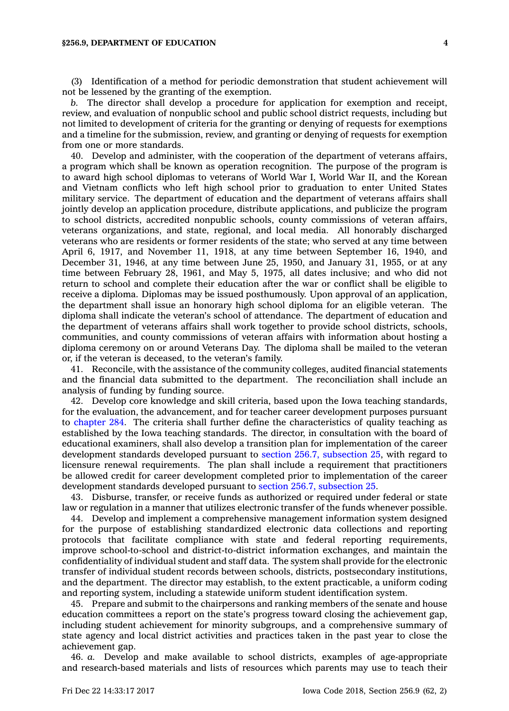(3) Identification of <sup>a</sup> method for periodic demonstration that student achievement will not be lessened by the granting of the exemption.

*b.* The director shall develop <sup>a</sup> procedure for application for exemption and receipt, review, and evaluation of nonpublic school and public school district requests, including but not limited to development of criteria for the granting or denying of requests for exemptions and <sup>a</sup> timeline for the submission, review, and granting or denying of requests for exemption from one or more standards.

40. Develop and administer, with the cooperation of the department of veterans affairs, <sup>a</sup> program which shall be known as operation recognition. The purpose of the program is to award high school diplomas to veterans of World War I, World War II, and the Korean and Vietnam conflicts who left high school prior to graduation to enter United States military service. The department of education and the department of veterans affairs shall jointly develop an application procedure, distribute applications, and publicize the program to school districts, accredited nonpublic schools, county commissions of veteran affairs, veterans organizations, and state, regional, and local media. All honorably discharged veterans who are residents or former residents of the state; who served at any time between April 6, 1917, and November 11, 1918, at any time between September 16, 1940, and December 31, 1946, at any time between June 25, 1950, and January 31, 1955, or at any time between February 28, 1961, and May 5, 1975, all dates inclusive; and who did not return to school and complete their education after the war or conflict shall be eligible to receive <sup>a</sup> diploma. Diplomas may be issued posthumously. Upon approval of an application, the department shall issue an honorary high school diploma for an eligible veteran. The diploma shall indicate the veteran's school of attendance. The department of education and the department of veterans affairs shall work together to provide school districts, schools, communities, and county commissions of veteran affairs with information about hosting <sup>a</sup> diploma ceremony on or around Veterans Day. The diploma shall be mailed to the veteran or, if the veteran is deceased, to the veteran's family.

41. Reconcile, with the assistance of the community colleges, audited financial statements and the financial data submitted to the department. The reconciliation shall include an analysis of funding by funding source.

42. Develop core knowledge and skill criteria, based upon the Iowa teaching standards, for the evaluation, the advancement, and for teacher career development purposes pursuant to [chapter](https://www.legis.iowa.gov/docs/code//284.pdf) 284. The criteria shall further define the characteristics of quality teaching as established by the Iowa teaching standards. The director, in consultation with the board of educational examiners, shall also develop <sup>a</sup> transition plan for implementation of the career development standards developed pursuant to section 256.7, [subsection](https://www.legis.iowa.gov/docs/code/256.7.pdf) 25, with regard to licensure renewal requirements. The plan shall include <sup>a</sup> requirement that practitioners be allowed credit for career development completed prior to implementation of the career development standards developed pursuant to section 256.7, [subsection](https://www.legis.iowa.gov/docs/code/256.7.pdf) 25.

43. Disburse, transfer, or receive funds as authorized or required under federal or state law or regulation in <sup>a</sup> manner that utilizes electronic transfer of the funds whenever possible.

44. Develop and implement <sup>a</sup> comprehensive management information system designed for the purpose of establishing standardized electronic data collections and reporting protocols that facilitate compliance with state and federal reporting requirements, improve school-to-school and district-to-district information exchanges, and maintain the confidentiality of individual student and staff data. The system shall provide for the electronic transfer of individual student records between schools, districts, postsecondary institutions, and the department. The director may establish, to the extent practicable, <sup>a</sup> uniform coding and reporting system, including <sup>a</sup> statewide uniform student identification system.

45. Prepare and submit to the chairpersons and ranking members of the senate and house education committees <sup>a</sup> report on the state's progress toward closing the achievement gap, including student achievement for minority subgroups, and <sup>a</sup> comprehensive summary of state agency and local district activities and practices taken in the past year to close the achievement gap.

46. *a.* Develop and make available to school districts, examples of age-appropriate and research-based materials and lists of resources which parents may use to teach their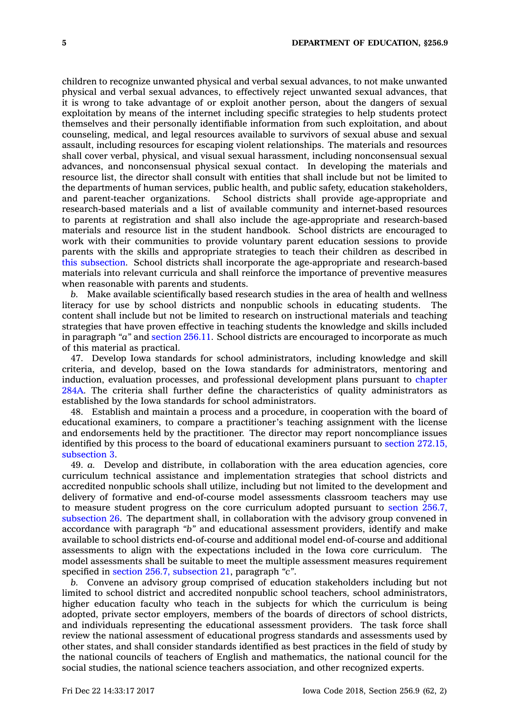children to recognize unwanted physical and verbal sexual advances, to not make unwanted physical and verbal sexual advances, to effectively reject unwanted sexual advances, that it is wrong to take advantage of or exploit another person, about the dangers of sexual exploitation by means of the internet including specific strategies to help students protect themselves and their personally identifiable information from such exploitation, and about counseling, medical, and legal resources available to survivors of sexual abuse and sexual assault, including resources for escaping violent relationships. The materials and resources shall cover verbal, physical, and visual sexual harassment, including nonconsensual sexual advances, and nonconsensual physical sexual contact. In developing the materials and resource list, the director shall consult with entities that shall include but not be limited to the departments of human services, public health, and public safety, education stakeholders, and parent-teacher organizations. School districts shall provide age-appropriate and research-based materials and <sup>a</sup> list of available community and internet-based resources to parents at registration and shall also include the age-appropriate and research-based materials and resource list in the student handbook. School districts are encouraged to work with their communities to provide voluntary parent education sessions to provide parents with the skills and appropriate strategies to teach their children as described in this [subsection](https://www.legis.iowa.gov/docs/code/256.9.pdf). School districts shall incorporate the age-appropriate and research-based materials into relevant curricula and shall reinforce the importance of preventive measures when reasonable with parents and students.

*b.* Make available scientifically based research studies in the area of health and wellness literacy for use by school districts and nonpublic schools in educating students. The content shall include but not be limited to research on instructional materials and teaching strategies that have proven effective in teaching students the knowledge and skills included in paragraph *"a"* and [section](https://www.legis.iowa.gov/docs/code/256.11.pdf) 256.11. School districts are encouraged to incorporate as much of this material as practical.

47. Develop Iowa standards for school administrators, including knowledge and skill criteria, and develop, based on the Iowa standards for administrators, mentoring and induction, evaluation processes, and professional development plans pursuant to [chapter](https://www.legis.iowa.gov/docs/code//284A.pdf) [284A](https://www.legis.iowa.gov/docs/code//284A.pdf). The criteria shall further define the characteristics of quality administrators as established by the Iowa standards for school administrators.

48. Establish and maintain <sup>a</sup> process and <sup>a</sup> procedure, in cooperation with the board of educational examiners, to compare <sup>a</sup> practitioner's teaching assignment with the license and endorsements held by the practitioner. The director may report noncompliance issues identified by this process to the board of educational examiners pursuant to section [272.15,](https://www.legis.iowa.gov/docs/code/272.15.pdf) [subsection](https://www.legis.iowa.gov/docs/code/272.15.pdf) 3.

49. *a.* Develop and distribute, in collaboration with the area education agencies, core curriculum technical assistance and implementation strategies that school districts and accredited nonpublic schools shall utilize, including but not limited to the development and delivery of formative and end-of-course model assessments classroom teachers may use to measure student progress on the core curriculum adopted pursuant to [section](https://www.legis.iowa.gov/docs/code/256.7.pdf) 256.7, [subsection](https://www.legis.iowa.gov/docs/code/256.7.pdf) 26. The department shall, in collaboration with the advisory group convened in accordance with paragraph *"b"* and educational assessment providers, identify and make available to school districts end-of-course and additional model end-of-course and additional assessments to align with the expectations included in the Iowa core curriculum. The model assessments shall be suitable to meet the multiple assessment measures requirement specified in section 256.7, [subsection](https://www.legis.iowa.gov/docs/code/256.7.pdf) 21, paragraph *"c"*.

*b.* Convene an advisory group comprised of education stakeholders including but not limited to school district and accredited nonpublic school teachers, school administrators, higher education faculty who teach in the subjects for which the curriculum is being adopted, private sector employers, members of the boards of directors of school districts, and individuals representing the educational assessment providers. The task force shall review the national assessment of educational progress standards and assessments used by other states, and shall consider standards identified as best practices in the field of study by the national councils of teachers of English and mathematics, the national council for the social studies, the national science teachers association, and other recognized experts.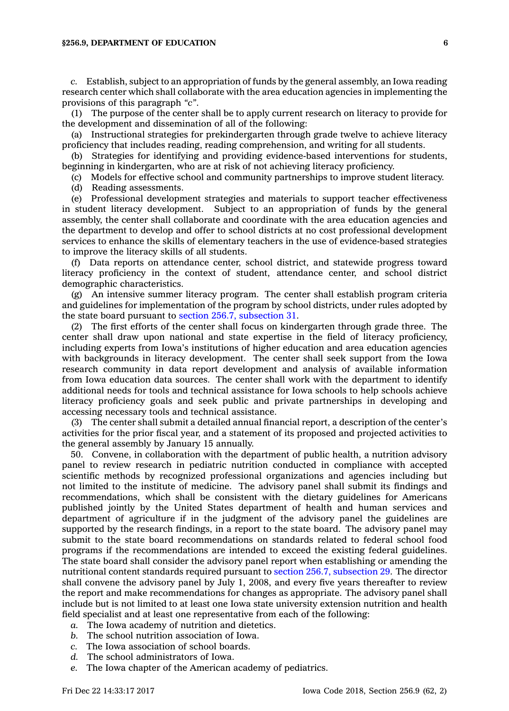## **§256.9, DEPARTMENT OF EDUCATION 6**

*c.* Establish, subject to an appropriation of funds by the general assembly, an Iowa reading research center which shall collaborate with the area education agencies in implementing the provisions of this paragraph *"c"*.

(1) The purpose of the center shall be to apply current research on literacy to provide for the development and dissemination of all of the following:

(a) Instructional strategies for prekindergarten through grade twelve to achieve literacy proficiency that includes reading, reading comprehension, and writing for all students.

(b) Strategies for identifying and providing evidence-based interventions for students, beginning in kindergarten, who are at risk of not achieving literacy proficiency.

(c) Models for effective school and community partnerships to improve student literacy.

(d) Reading assessments.

(e) Professional development strategies and materials to support teacher effectiveness in student literacy development. Subject to an appropriation of funds by the general assembly, the center shall collaborate and coordinate with the area education agencies and the department to develop and offer to school districts at no cost professional development services to enhance the skills of elementary teachers in the use of evidence-based strategies to improve the literacy skills of all students.

(f) Data reports on attendance center, school district, and statewide progress toward literacy proficiency in the context of student, attendance center, and school district demographic characteristics.

(g) An intensive summer literacy program. The center shall establish program criteria and guidelines for implementation of the program by school districts, under rules adopted by the state board pursuant to section 256.7, [subsection](https://www.legis.iowa.gov/docs/code/256.7.pdf) 31.

(2) The first efforts of the center shall focus on kindergarten through grade three. The center shall draw upon national and state expertise in the field of literacy proficiency, including experts from Iowa's institutions of higher education and area education agencies with backgrounds in literacy development. The center shall seek support from the Iowa research community in data report development and analysis of available information from Iowa education data sources. The center shall work with the department to identify additional needs for tools and technical assistance for Iowa schools to help schools achieve literacy proficiency goals and seek public and private partnerships in developing and accessing necessary tools and technical assistance.

(3) The center shall submit <sup>a</sup> detailed annual financial report, <sup>a</sup> description of the center's activities for the prior fiscal year, and <sup>a</sup> statement of its proposed and projected activities to the general assembly by January 15 annually.

50. Convene, in collaboration with the department of public health, <sup>a</sup> nutrition advisory panel to review research in pediatric nutrition conducted in compliance with accepted scientific methods by recognized professional organizations and agencies including but not limited to the institute of medicine. The advisory panel shall submit its findings and recommendations, which shall be consistent with the dietary guidelines for Americans published jointly by the United States department of health and human services and department of agriculture if in the judgment of the advisory panel the guidelines are supported by the research findings, in <sup>a</sup> report to the state board. The advisory panel may submit to the state board recommendations on standards related to federal school food programs if the recommendations are intended to exceed the existing federal guidelines. The state board shall consider the advisory panel report when establishing or amending the nutritional content standards required pursuant to section 256.7, [subsection](https://www.legis.iowa.gov/docs/code/256.7.pdf) 29. The director shall convene the advisory panel by July 1, 2008, and every five years thereafter to review the report and make recommendations for changes as appropriate. The advisory panel shall include but is not limited to at least one Iowa state university extension nutrition and health field specialist and at least one representative from each of the following:

- *a.* The Iowa academy of nutrition and dietetics.
- *b.* The school nutrition association of Iowa.
- *c.* The Iowa association of school boards.
- *d.* The school administrators of Iowa.
- *e.* The Iowa chapter of the American academy of pediatrics.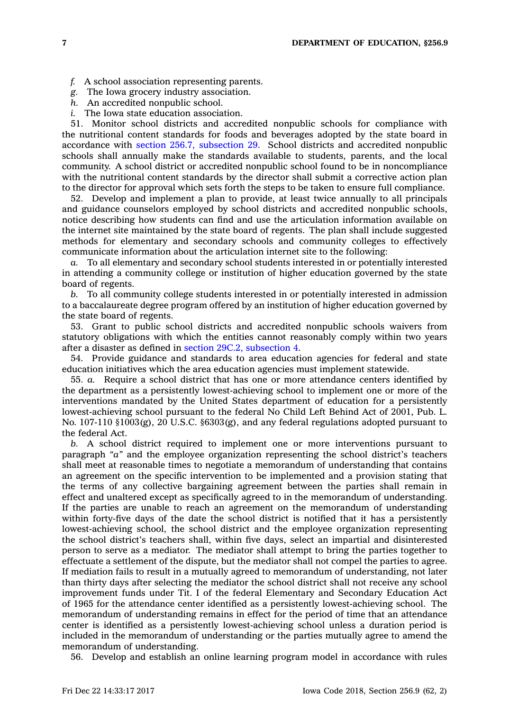- *f.* A school association representing parents.
- *g.* The Iowa grocery industry association.
- *h.* An accredited nonpublic school.
- *i.* The Iowa state education association.

51. Monitor school districts and accredited nonpublic schools for compliance with the nutritional content standards for foods and beverages adopted by the state board in accordance with section 256.7, [subsection](https://www.legis.iowa.gov/docs/code/256.7.pdf) 29. School districts and accredited nonpublic schools shall annually make the standards available to students, parents, and the local community. A school district or accredited nonpublic school found to be in noncompliance with the nutritional content standards by the director shall submit <sup>a</sup> corrective action plan to the director for approval which sets forth the steps to be taken to ensure full compliance.

52. Develop and implement <sup>a</sup> plan to provide, at least twice annually to all principals and guidance counselors employed by school districts and accredited nonpublic schools, notice describing how students can find and use the articulation information available on the internet site maintained by the state board of regents. The plan shall include suggested methods for elementary and secondary schools and community colleges to effectively communicate information about the articulation internet site to the following:

*a.* To all elementary and secondary school students interested in or potentially interested in attending <sup>a</sup> community college or institution of higher education governed by the state board of regents.

*b.* To all community college students interested in or potentially interested in admission to <sup>a</sup> baccalaureate degree program offered by an institution of higher education governed by the state board of regents.

53. Grant to public school districts and accredited nonpublic schools waivers from statutory obligations with which the entities cannot reasonably comply within two years after <sup>a</sup> disaster as defined in section 29C.2, [subsection](https://www.legis.iowa.gov/docs/code/29C.2.pdf) 4.

54. Provide guidance and standards to area education agencies for federal and state education initiatives which the area education agencies must implement statewide.

55. *a.* Require <sup>a</sup> school district that has one or more attendance centers identified by the department as <sup>a</sup> persistently lowest-achieving school to implement one or more of the interventions mandated by the United States department of education for <sup>a</sup> persistently lowest-achieving school pursuant to the federal No Child Left Behind Act of 2001, Pub. L. No. 107-110 §1003(g), 20 U.S.C. §6303(g), and any federal regulations adopted pursuant to the federal Act.

*b.* A school district required to implement one or more interventions pursuant to paragraph *"a"* and the employee organization representing the school district's teachers shall meet at reasonable times to negotiate <sup>a</sup> memorandum of understanding that contains an agreement on the specific intervention to be implemented and <sup>a</sup> provision stating that the terms of any collective bargaining agreement between the parties shall remain in effect and unaltered except as specifically agreed to in the memorandum of understanding. If the parties are unable to reach an agreement on the memorandum of understanding within forty-five days of the date the school district is notified that it has <sup>a</sup> persistently lowest-achieving school, the school district and the employee organization representing the school district's teachers shall, within five days, select an impartial and disinterested person to serve as <sup>a</sup> mediator. The mediator shall attempt to bring the parties together to effectuate <sup>a</sup> settlement of the dispute, but the mediator shall not compel the parties to agree. If mediation fails to result in <sup>a</sup> mutually agreed to memorandum of understanding, not later than thirty days after selecting the mediator the school district shall not receive any school improvement funds under Tit. I of the federal Elementary and Secondary Education Act of 1965 for the attendance center identified as <sup>a</sup> persistently lowest-achieving school. The memorandum of understanding remains in effect for the period of time that an attendance center is identified as <sup>a</sup> persistently lowest-achieving school unless <sup>a</sup> duration period is included in the memorandum of understanding or the parties mutually agree to amend the memorandum of understanding.

56. Develop and establish an online learning program model in accordance with rules